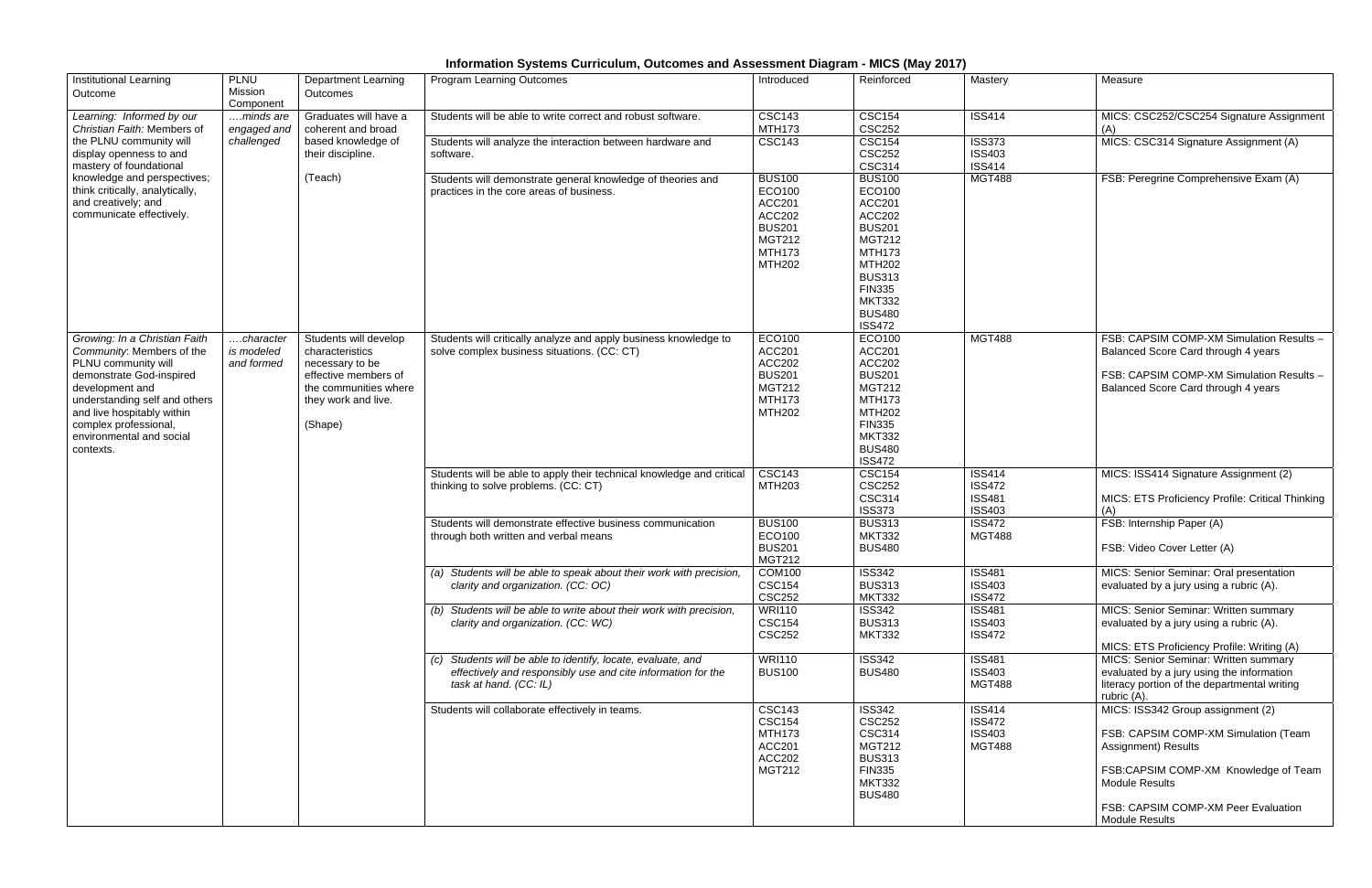## **Information Systems Curriculum, Outcomes and Assessment Diagram - MICS (May 2017)**

| <b>Institutional Learning</b><br>Outcome                                                                                                                                                                                                                          | <b>PLNU</b><br>Mission<br>Component    | <b>Department Learning</b><br>Outcomes                                                                                                         | <b>Program Learning Outcomes</b>                                                                                                                       | Introduced                                                                                                                    | Reinforced                                                                                                                                                                                                         | Mastery                                                          | Measure                                                                                                                                                                                                                           |
|-------------------------------------------------------------------------------------------------------------------------------------------------------------------------------------------------------------------------------------------------------------------|----------------------------------------|------------------------------------------------------------------------------------------------------------------------------------------------|--------------------------------------------------------------------------------------------------------------------------------------------------------|-------------------------------------------------------------------------------------------------------------------------------|--------------------------------------------------------------------------------------------------------------------------------------------------------------------------------------------------------------------|------------------------------------------------------------------|-----------------------------------------------------------------------------------------------------------------------------------------------------------------------------------------------------------------------------------|
| Learning: Informed by our<br>Christian Faith: Members of<br>the PLNU community will<br>display openness to and<br>mastery of foundational<br>knowledge and perspectives;<br>think critically, analytically,<br>and creatively; and<br>communicate effectively.    | minds are<br>engaged and<br>challenged | Graduates will have a<br>coherent and broad<br>based knowledge of<br>their discipline.                                                         | Students will be able to write correct and robust software.                                                                                            | <b>CSC143</b><br><b>MTH173</b>                                                                                                | <b>CSC154</b><br><b>CSC252</b>                                                                                                                                                                                     | <b>ISS414</b>                                                    | MICS: CSC252/CSC254 Signature Assignment<br>(A)                                                                                                                                                                                   |
|                                                                                                                                                                                                                                                                   |                                        |                                                                                                                                                | Students will analyze the interaction between hardware and<br>software.                                                                                | <b>CSC143</b>                                                                                                                 | <b>CSC154</b><br><b>CSC252</b><br><b>CSC314</b>                                                                                                                                                                    | <b>ISS373</b><br><b>ISS403</b><br><b>ISS414</b>                  | MICS: CSC314 Signature Assignment (A)                                                                                                                                                                                             |
|                                                                                                                                                                                                                                                                   |                                        | (Teach)                                                                                                                                        | Students will demonstrate general knowledge of theories and<br>practices in the core areas of business.                                                | <b>BUS100</b><br>ECO100<br><b>ACC201</b><br><b>ACC202</b><br><b>BUS201</b><br><b>MGT212</b><br><b>MTH173</b><br><b>MTH202</b> | <b>BUS100</b><br>ECO100<br><b>ACC201</b><br><b>ACC202</b><br><b>BUS201</b><br><b>MGT212</b><br><b>MTH173</b><br><b>MTH202</b><br><b>BUS313</b><br><b>FIN335</b><br><b>MKT332</b><br><b>BUS480</b><br><b>ISS472</b> | <b>MGT488</b>                                                    | FSB: Peregrine Comprehensive Exam (A)                                                                                                                                                                                             |
| Growing: In a Christian Faith<br>Community: Members of the<br>PLNU community will<br>demonstrate God-inspired<br>development and<br>understanding self and others<br>and live hospitably within<br>complex professional,<br>environmental and social<br>contexts. | character<br>is modeled<br>and formed  | Students will develop<br>characteristics<br>necessary to be<br>effective members of<br>the communities where<br>they work and live.<br>(Shape) | Students will critically analyze and apply business knowledge to<br>solve complex business situations. (CC: CT)                                        | ECO100<br><b>ACC201</b><br><b>ACC202</b><br><b>BUS201</b><br><b>MGT212</b><br><b>MTH173</b><br><b>MTH202</b>                  | ECO100<br><b>ACC201</b><br><b>ACC202</b><br><b>BUS201</b><br><b>MGT212</b><br><b>MTH173</b><br><b>MTH202</b><br><b>FIN335</b><br><b>MKT332</b><br><b>BUS480</b><br><b>ISS472</b>                                   | <b>MGT488</b>                                                    | FSB: CAPSIM COMP-XM Simulation Results -<br>Balanced Score Card through 4 years<br>FSB: CAPSIM COMP-XM Simulation Results -<br>Balanced Score Card through 4 years                                                                |
|                                                                                                                                                                                                                                                                   |                                        |                                                                                                                                                | Students will be able to apply their technical knowledge and critical<br>thinking to solve problems. (CC: CT)                                          | <b>CSC143</b><br><b>MTH203</b>                                                                                                | <b>CSC154</b><br><b>CSC252</b><br><b>CSC314</b>                                                                                                                                                                    | <b>ISS414</b><br><b>ISS472</b><br><b>ISS481</b>                  | MICS: ISS414 Signature Assignment (2)<br>MICS: ETS Proficiency Profile: Critical Thinking                                                                                                                                         |
|                                                                                                                                                                                                                                                                   |                                        |                                                                                                                                                | Students will demonstrate effective business communication<br>through both written and verbal means                                                    | <b>BUS100</b><br>ECO100<br><b>BUS201</b><br><b>MGT212</b>                                                                     | <b>ISS373</b><br><b>BUS313</b><br><b>MKT332</b><br><b>BUS480</b>                                                                                                                                                   | <b>ISS403</b><br><b>ISS472</b><br><b>MGT488</b>                  | (A)<br>FSB: Internship Paper (A)<br>FSB: Video Cover Letter (A)                                                                                                                                                                   |
|                                                                                                                                                                                                                                                                   |                                        |                                                                                                                                                | (a) Students will be able to speak about their work with precision,<br>clarity and organization. (CC: OC)                                              | COM100<br><b>CSC154</b><br><b>CSC252</b>                                                                                      | <b>ISS342</b><br><b>BUS313</b><br><b>MKT332</b>                                                                                                                                                                    | <b>ISS481</b><br><b>ISS403</b><br><b>ISS472</b>                  | <b>MICS: Senior Seminar: Oral presentation</b><br>evaluated by a jury using a rubric (A).                                                                                                                                         |
|                                                                                                                                                                                                                                                                   |                                        |                                                                                                                                                | (b) Students will be able to write about their work with precision,<br>clarity and organization. (CC: WC)                                              | <b>WRI110</b><br><b>CSC154</b><br><b>CSC252</b>                                                                               | <b>ISS342</b><br><b>BUS313</b><br><b>MKT332</b>                                                                                                                                                                    | <b>ISS481</b><br><b>ISS403</b><br><b>ISS472</b>                  | MICS: Senior Seminar: Written summary<br>evaluated by a jury using a rubric (A).                                                                                                                                                  |
|                                                                                                                                                                                                                                                                   |                                        |                                                                                                                                                | (c) Students will be able to identify, locate, evaluate, and<br>effectively and responsibly use and cite information for the<br>task at hand. (CC: IL) | <b>WRI110</b><br><b>BUS100</b>                                                                                                | <b>ISS342</b><br><b>BUS480</b>                                                                                                                                                                                     | <b>ISS481</b><br><b>ISS403</b><br><b>MGT488</b>                  | MICS: ETS Proficiency Profile: Writing (A)<br>MICS: Senior Seminar: Written summary<br>evaluated by a jury using the information<br>literacy portion of the departmental writing<br>rubric (A).                                   |
|                                                                                                                                                                                                                                                                   |                                        |                                                                                                                                                | Students will collaborate effectively in teams.                                                                                                        | <b>CSC143</b><br><b>CSC154</b><br><b>MTH173</b><br><b>ACC201</b><br><b>ACC202</b><br><b>MGT212</b>                            | <b>ISS342</b><br><b>CSC252</b><br><b>CSC314</b><br><b>MGT212</b><br><b>BUS313</b><br><b>FIN335</b><br><b>MKT332</b><br><b>BUS480</b>                                                                               | <b>ISS414</b><br><b>ISS472</b><br><b>ISS403</b><br><b>MGT488</b> | MICS: ISS342 Group assignment (2)<br>FSB: CAPSIM COMP-XM Simulation (Team<br>Assignment) Results<br>FSB:CAPSIM COMP-XM Knowledge of Team<br><b>Module Results</b><br>FSB: CAPSIM COMP-XM Peer Evaluation<br><b>Module Results</b> |